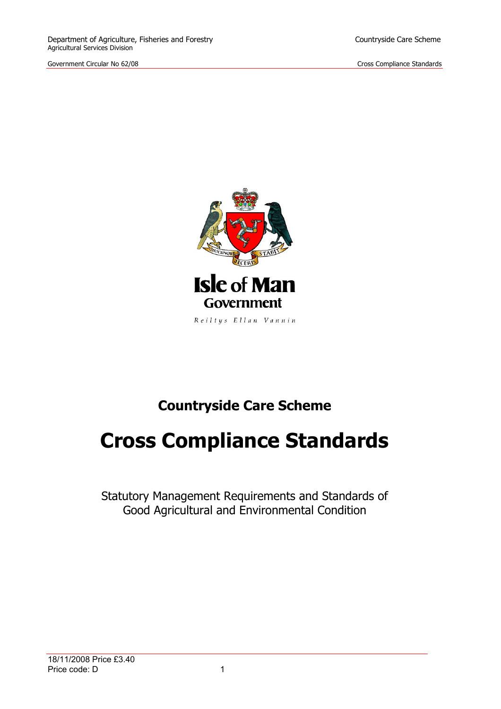

# **Countryside Care Scheme**

# **Cross Compliance Standards**

Statutory Management Requirements and Standards of Good Agricultural and Environmental Condition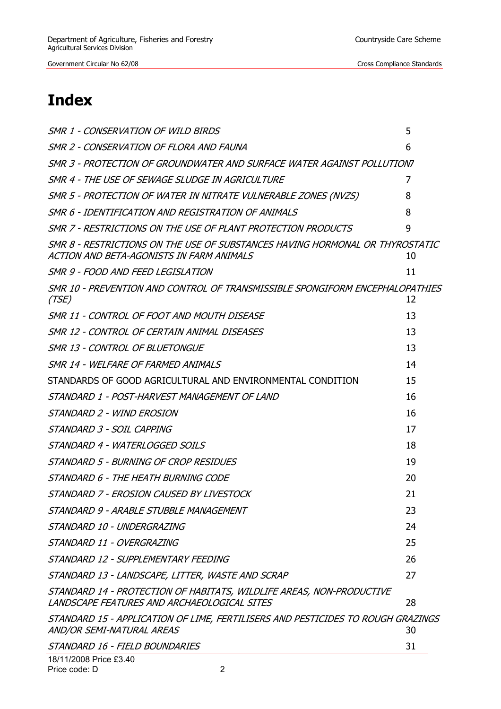# **Index**

| SMR 1 - CONSERVATION OF WILD BIRDS                                                                                       | 5  |
|--------------------------------------------------------------------------------------------------------------------------|----|
| SMR 2 - CONSERVATION OF FLORA AND FAUNA                                                                                  | 6  |
| SMR 3 - PROTECTION OF GROUNDWATER AND SURFACE WATER AGAINST POLLUTIONT                                                   |    |
| SMR 4 - THE USE OF SEWAGE SLUDGE IN AGRICULTURE                                                                          | 7  |
| SMR 5 - PROTECTION OF WATER IN NITRATE VULNERABLE ZONES (NVZS)                                                           | 8  |
| SMR 6 - IDENTIFICATION AND REGISTRATION OF ANIMALS                                                                       | 8  |
| SMR 7 - RESTRICTIONS ON THE USE OF PLANT PROTECTION PRODUCTS                                                             | 9  |
| SMR 8 - RESTRICTIONS ON THE USE OF SUBSTANCES HAVING HORMONAL OR THYROSTATIC<br>ACTION AND BETA-AGONISTS IN FARM ANIMALS | 10 |
| SMR 9 - FOOD AND FEED LEGISLATION                                                                                        | 11 |
| SMR 10 - PREVENTION AND CONTROL OF TRANSMISSIBLE SPONGIFORM ENCEPHALOPATHIES<br>(TSE)                                    | 12 |
| SMR 11 - CONTROL OF FOOT AND MOUTH DISEASE                                                                               | 13 |
| SMR 12 - CONTROL OF CERTAIN ANIMAL DISEASES                                                                              | 13 |
| SMR 13 - CONTROL OF BLUETONGUE                                                                                           | 13 |
| SMR 14 - WELFARE OF FARMED ANIMALS                                                                                       | 14 |
| STANDARDS OF GOOD AGRICULTURAL AND ENVIRONMENTAL CONDITION                                                               | 15 |
| STANDARD 1 - POST-HARVEST MANAGEMENT OF LAND                                                                             | 16 |
| STANDARD 2 - WIND EROSION                                                                                                | 16 |
| STANDARD 3 - SOIL CAPPING                                                                                                | 17 |
| STANDARD 4 - WATERLOGGED SOILS                                                                                           | 18 |
| STANDARD 5 - BURNING OF CROP RESIDUES                                                                                    | 19 |
| STANDARD 6 - THE HEATH BURNING CODE                                                                                      | 20 |
| STANDARD 7 - EROSION CAUSED BY LIVESTOCK                                                                                 | 21 |
| STANDARD 9 - ARABLE STUBBLE MANAGEMENT                                                                                   | 23 |
| STANDARD 10 - UNDERGRAZING                                                                                               | 24 |
| STANDARD 11 - OVERGRAZING                                                                                                | 25 |
| STANDARD 12 - SUPPLEMENTARY FEEDING                                                                                      | 26 |
| STANDARD 13 - LANDSCAPE, LITTER, WASTE AND SCRAP                                                                         | 27 |
| STANDARD 14 - PROTECTION OF HABITATS, WILDLIFE AREAS, NON-PRODUCTIVE<br>LANDSCAPE FEATURES AND ARCHAEOLOGICAL SITES      | 28 |
| STANDARD 15 - APPLICATION OF LIME, FERTILISERS AND PESTICIDES TO ROUGH GRAZINGS<br>AND/OR SEMI-NATURAL AREAS             | 30 |
| STANDARD 16 - FIELD BOUNDARIES                                                                                           | 31 |
|                                                                                                                          |    |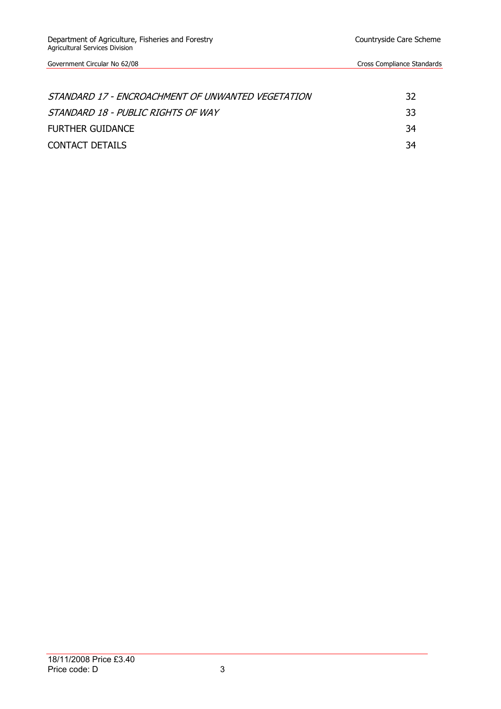| STANDARD 17 - ENCROACHMENT OF UNWANTED VEGETATION | 32  |
|---------------------------------------------------|-----|
| STANDARD 18 - PUBLIC RIGHTS OF WAY                | -33 |
| <b>FURTHER GUIDANCE</b>                           | -34 |
| CONTACT DETAILS                                   | -34 |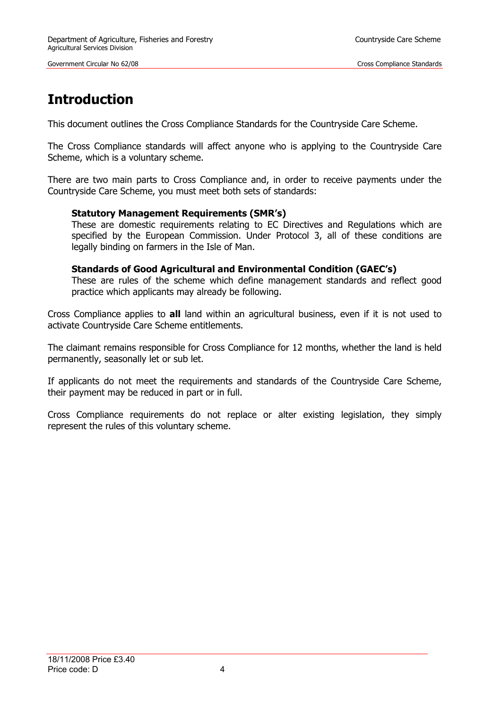# **Introduction**

This document outlines the Cross Compliance Standards for the Countryside Care Scheme.

The Cross Compliance standards will affect anyone who is applying to the Countryside Care Scheme, which is a voluntary scheme.

There are two main parts to Cross Compliance and, in order to receive payments under the Countryside Care Scheme, you must meet both sets of standards:

#### **Statutory Management Requirements (SMR's)**

These are domestic requirements relating to EC Directives and Regulations which are specified by the European Commission. Under Protocol 3, all of these conditions are legally binding on farmers in the Isle of Man.

#### **Standards of Good Agricultural and Environmental Condition (GAEC's)**

These are rules of the scheme which define management standards and reflect good practice which applicants may already be following.

Cross Compliance applies to **all** land within an agricultural business, even if it is not used to activate Countryside Care Scheme entitlements.

The claimant remains responsible for Cross Compliance for 12 months, whether the land is held permanently, seasonally let or sub let.

If applicants do not meet the requirements and standards of the Countryside Care Scheme, their payment may be reduced in part or in full.

Cross Compliance requirements do not replace or alter existing legislation, they simply represent the rules of this voluntary scheme.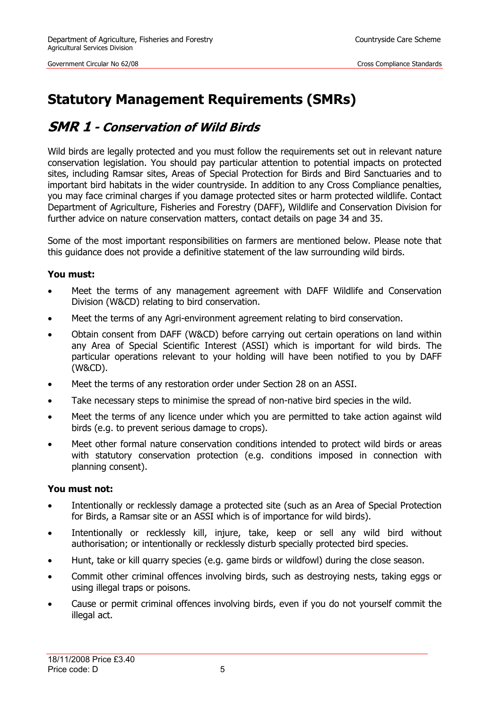# **Statutory Management Requirements (SMRs)**

### <span id="page-4-0"></span>**SMR 1 - Conservation of Wild Birds**

Wild birds are legally protected and you must follow the requirements set out in relevant nature conservation legislation. You should pay particular attention to potential impacts on protected sites, including Ramsar sites, Areas of Special Protection for Birds and Bird Sanctuaries and to important bird habitats in the wider countryside. In addition to any Cross Compliance penalties, you may face criminal charges if you damage protected sites or harm protected wildlife. Contact Department of Agriculture, Fisheries and Forestry (DAFF), Wildlife and Conservation Division for further advice on nature conservation matters, contact details on page 34 and 35.

Some of the most important responsibilities on farmers are mentioned below. Please note that this guidance does not provide a definitive statement of the law surrounding wild birds.

#### **You must:**

- Meet the terms of any management agreement with DAFF Wildlife and Conservation Division (W&CD) relating to bird conservation.
- Meet the terms of any Agri-environment agreement relating to bird conservation.
- Obtain consent from DAFF (W&CD) before carrying out certain operations on land within any Area of Special Scientific Interest (ASSI) which is important for wild birds. The particular operations relevant to your holding will have been notified to you by DAFF (W&CD).
- Meet the terms of any restoration order under Section 28 on an ASSI.
- Take necessary steps to minimise the spread of non-native bird species in the wild.
- Meet the terms of any licence under which you are permitted to take action against wild birds (e.g. to prevent serious damage to crops).
- Meet other formal nature conservation conditions intended to protect wild birds or areas with statutory conservation protection (e.g. conditions imposed in connection with planning consent).

#### **You must not:**

- Intentionally or recklessly damage a protected site (such as an Area of Special Protection for Birds, a Ramsar site or an ASSI which is of importance for wild birds).
- Intentionally or recklessly kill, injure, take, keep or sell any wild bird without authorisation; or intentionally or recklessly disturb specially protected bird species.
- Hunt, take or kill quarry species (e.g. game birds or wildfowl) during the close season.
- Commit other criminal offences involving birds, such as destroying nests, taking eggs or using illegal traps or poisons.
- Cause or permit criminal offences involving birds, even if you do not yourself commit the illegal act.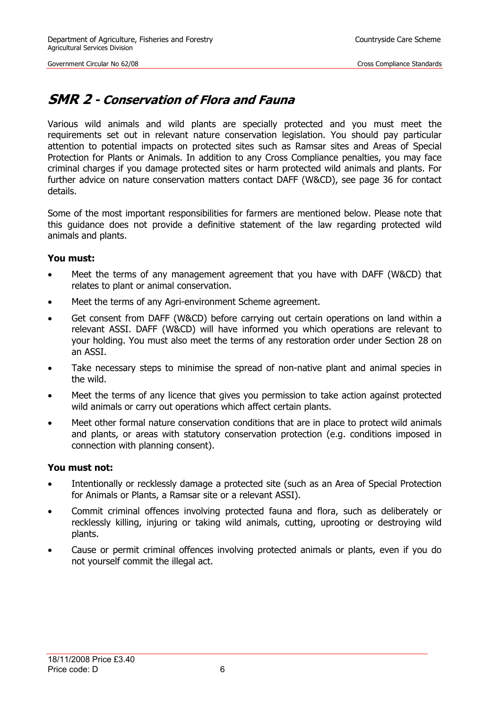### <span id="page-5-0"></span>**SMR 2 - Conservation of Flora and Fauna**

Various wild animals and wild plants are specially protected and you must meet the requirements set out in relevant nature conservation legislation. You should pay particular attention to potential impacts on protected sites such as Ramsar sites and Areas of Special Protection for Plants or Animals. In addition to any Cross Compliance penalties, you may face criminal charges if you damage protected sites or harm protected wild animals and plants. For further advice on nature conservation matters contact DAFF (W&CD), see page 36 for contact details.

Some of the most important responsibilities for farmers are mentioned below. Please note that this guidance does not provide a definitive statement of the law regarding protected wild animals and plants.

#### **You must:**

- Meet the terms of any management agreement that you have with DAFF (W&CD) that relates to plant or animal conservation.
- Meet the terms of any Agri-environment Scheme agreement.
- Get consent from DAFF (W&CD) before carrying out certain operations on land within a relevant ASSI. DAFF (W&CD) will have informed you which operations are relevant to your holding. You must also meet the terms of any restoration order under Section 28 on an ASSI.
- Take necessary steps to minimise the spread of non-native plant and animal species in the wild.
- Meet the terms of any licence that gives you permission to take action against protected wild animals or carry out operations which affect certain plants.
- Meet other formal nature conservation conditions that are in place to protect wild animals and plants, or areas with statutory conservation protection (e.g. conditions imposed in connection with planning consent).

#### **You must not:**

- Intentionally or recklessly damage a protected site (such as an Area of Special Protection for Animals or Plants, a Ramsar site or a relevant ASSI).
- Commit criminal offences involving protected fauna and flora, such as deliberately or recklessly killing, injuring or taking wild animals, cutting, uprooting or destroying wild plants.
- Cause or permit criminal offences involving protected animals or plants, even if you do not yourself commit the illegal act.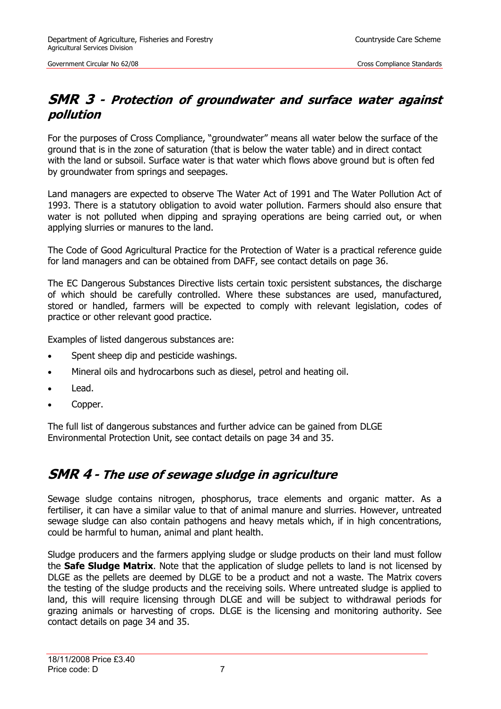### <span id="page-6-0"></span>**SMR 3 - Protection of groundwater and surface water against pollution**

For the purposes of Cross Compliance, "groundwater" means all water below the surface of the ground that is in the zone of saturation (that is below the water table) and in direct contact with the land or subsoil. Surface water is that water which flows above ground but is often fed by groundwater from springs and seepages.

Land managers are expected to observe The Water Act of 1991 and The Water Pollution Act of 1993. There is a statutory obligation to avoid water pollution. Farmers should also ensure that water is not polluted when dipping and spraying operations are being carried out, or when applying slurries or manures to the land.

The Code of Good Agricultural Practice for the Protection of Water is a practical reference guide for land managers and can be obtained from DAFF, see contact details on page 36.

The EC Dangerous Substances Directive lists certain toxic persistent substances, the discharge of which should be carefully controlled. Where these substances are used, manufactured, stored or handled, farmers will be expected to comply with relevant legislation, codes of practice or other relevant good practice.

Examples of listed dangerous substances are:

- Spent sheep dip and pesticide washings.
- Mineral oils and hydrocarbons such as diesel, petrol and heating oil.
- Lead.
- Copper.

The full list of dangerous substances and further advice can be gained from DLGE Environmental Protection Unit, see contact details on page 34 and 35.

### <span id="page-6-1"></span>**SMR 4 - The use of sewage sludge in agriculture**

Sewage sludge contains nitrogen, phosphorus, trace elements and organic matter. As a fertiliser, it can have a similar value to that of animal manure and slurries. However, untreated sewage sludge can also contain pathogens and heavy metals which, if in high concentrations, could be harmful to human, animal and plant health.

Sludge producers and the farmers applying sludge or sludge products on their land must follow the **Safe Sludge Matrix**. Note that the application of sludge pellets to land is not licensed by DLGE as the pellets are deemed by DLGE to be a product and not a waste. The Matrix covers the testing of the sludge products and the receiving soils. Where untreated sludge is applied to land, this will require licensing through DLGE and will be subject to withdrawal periods for grazing animals or harvesting of crops. DLGE is the licensing and monitoring authority. See contact details on page 34 and 35.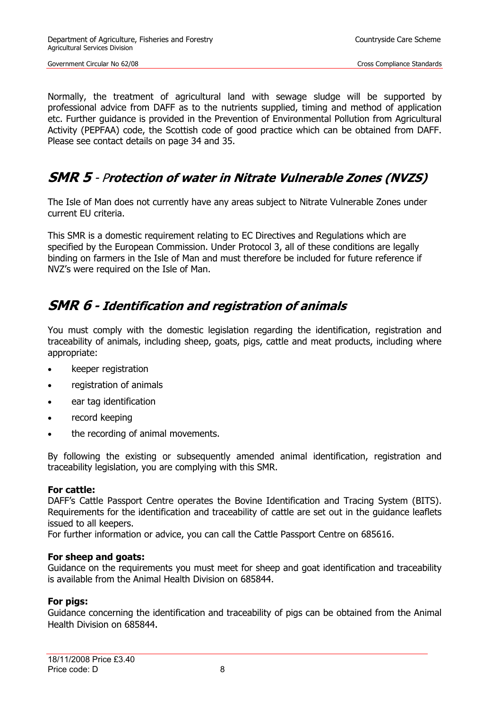Normally, the treatment of agricultural land with sewage sludge will be supported by professional advice from DAFF as to the nutrients supplied, timing and method of application etc. Further guidance is provided in the Prevention of Environmental Pollution from Agricultural Activity (PEPFAA) code, the Scottish code of good practice which can be obtained from DAFF. Please see contact details on page 34 and 35.

### <span id="page-7-0"></span>**SMR 5** - <sup>P</sup>**rotection of water in Nitrate Vulnerable Zones (NVZS)**

The Isle of Man does not currently have any areas subject to Nitrate Vulnerable Zones under current EU criteria.

This SMR is a domestic requirement relating to EC Directives and Regulations which are specified by the European Commission. Under Protocol 3, all of these conditions are legally binding on farmers in the Isle of Man and must therefore be included for future reference if NVZ's were required on the Isle of Man.

### <span id="page-7-1"></span>**SMR 6 - Identification and registration of animals**

You must comply with the domestic legislation regarding the identification, registration and traceability of animals, including sheep, goats, pigs, cattle and meat products, including where appropriate:

- keeper registration
- registration of animals
- ear tag identification
- record keeping
- the recording of animal movements.

By following the existing or subsequently amended animal identification, registration and traceability legislation, you are complying with this SMR.

#### **For cattle:**

DAFF's Cattle Passport Centre operates the Bovine Identification and Tracing System (BITS). Requirements for the identification and traceability of cattle are set out in the guidance leaflets issued to all keepers.

For further information or advice, you can call the Cattle Passport Centre on 685616.

#### **For sheep and goats:**

Guidance on the requirements you must meet for sheep and goat identification and traceability is available from the Animal Health Division on 685844.

#### **For pigs:**

Guidance concerning the identification and traceability of pigs can be obtained from the Animal Health Division on 685844.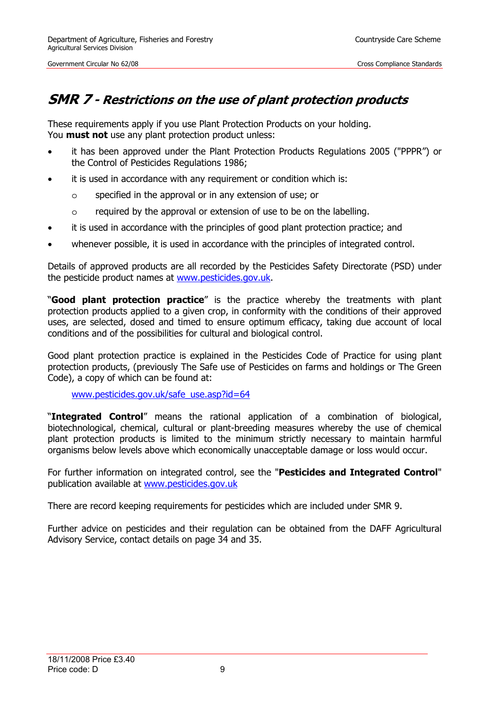### <span id="page-8-0"></span>**SMR 7 - Restrictions on the use of plant protection products**

These requirements apply if you use Plant Protection Products on your holding. You **must not** use any plant protection product unless:

- it has been approved under the Plant Protection Products Regulations 2005 ("PPPR") or the Control of Pesticides Regulations 1986;
- it is used in accordance with any requirement or condition which is:
	- o specified in the approval or in any extension of use; or
	- o required by the approval or extension of use to be on the labelling.
- it is used in accordance with the principles of good plant protection practice; and
- whenever possible, it is used in accordance with the principles of integrated control.

Details of approved products are all recorded by the Pesticides Safety Directorate (PSD) under the pesticide product names at [www.pesticides.gov.uk.](https://secure.pesticides.gov.uk/pestreg/Prodsearch.asp)

"**Good plant protection practice**" is the practice whereby the treatments with plant protection products applied to a given crop, in conformity with the conditions of their approved uses, are selected, dosed and timed to ensure optimum efficacy, taking due account of local conditions and of the possibilities for cultural and biological control.

Good plant protection practice is explained in the Pesticides Code of Practice for using plant protection products, (previously The Safe use of Pesticides on farms and holdings or The Green Code), a copy of which can be found at:

www.pesticides.gov.uk/safe\_use.asp?id=64

"**Integrated Control**" means the rational application of a combination of biological, biotechnological, chemical, cultural or plant-breeding measures whereby the use of chemical plant protection products is limited to the minimum strictly necessary to maintain harmful organisms below levels above which economically unacceptable damage or loss would occur.

For further information on integrated control, see the "**Pesticides and Integrated Control**" publication available at [www.pesticides.gov.uk](http://www.pesticides.gov.uk/)

There are record keeping requirements for pesticides which are included under SMR 9.

Further advice on pesticides and their regulation can be obtained from the DAFF Agricultural Advisory Service, contact details on page 34 and 35.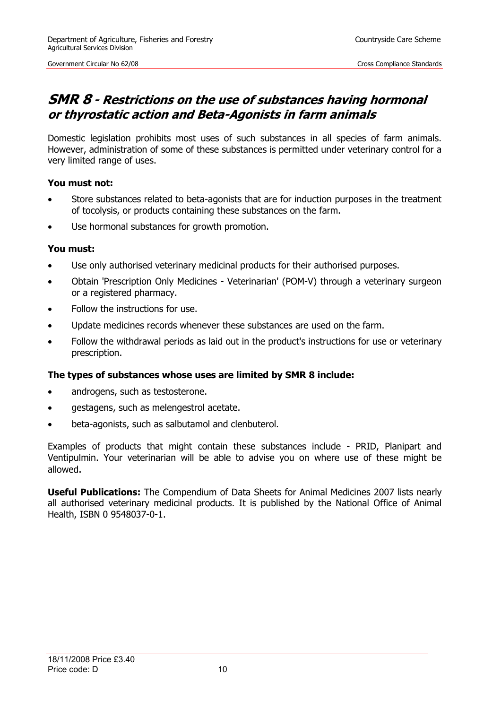### <span id="page-9-0"></span>**SMR 8 - Restrictions on the use of substances having hormonal or thyrostatic action and Beta-Agonists in farm animals**

Domestic legislation prohibits most uses of such substances in all species of farm animals. However, administration of some of these substances is permitted under veterinary control for a very limited range of uses.

#### **You must not:**

- Store substances related to beta-agonists that are for induction purposes in the treatment of tocolysis, or products containing these substances on the farm.
- Use hormonal substances for growth promotion.

#### **You must:**

- Use only authorised veterinary medicinal products for their authorised purposes.
- Obtain 'Prescription Only Medicines Veterinarian' (POM-V) through a veterinary surgeon or a registered pharmacy.
- Follow the instructions for use.
- Update medicines records whenever these substances are used on the farm.
- Follow the withdrawal periods as laid out in the product's instructions for use or veterinary prescription.

#### **The types of substances whose uses are limited by SMR 8 include:**

- androgens, such as testosterone.
- gestagens, such as melengestrol acetate.
- beta-agonists, such as salbutamol and clenbuterol.

Examples of products that might contain these substances include - PRID, Planipart and Ventipulmin. Your veterinarian will be able to advise you on where use of these might be allowed.

**Useful Publications:** The Compendium of Data Sheets for Animal Medicines 2007 lists nearly all authorised veterinary medicinal products. It is published by the National Office of Animal Health, ISBN 0 9548037-0-1.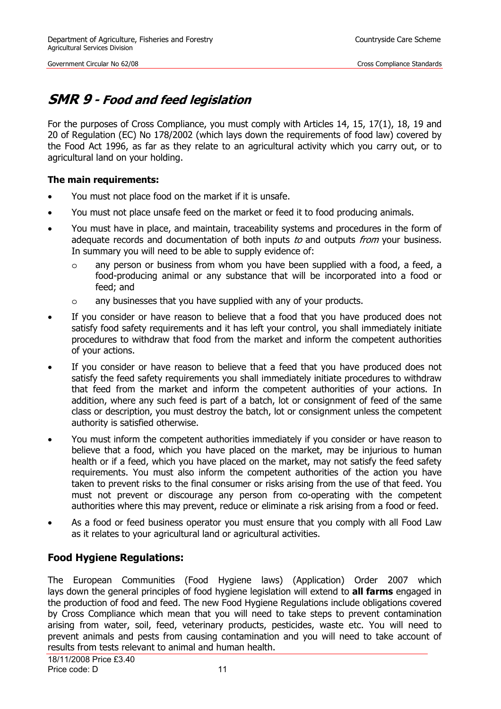### <span id="page-10-0"></span>**SMR 9 - Food and feed legislation**

For the purposes of Cross Compliance, you must comply with Articles 14, 15, 17(1), 18, 19 and 20 of Regulation (EC) No 178/2002 (which lays down the requirements of food law) covered by the Food Act 1996, as far as they relate to an agricultural activity which you carry out, or to agricultural land on your holding.

#### **The main requirements:**

- You must not place food on the market if it is unsafe.
- You must not place unsafe feed on the market or feed it to food producing animals.
- You must have in place, and maintain, traceability systems and procedures in the form of adequate records and documentation of both inputs to and outputs from your business. In summary you will need to be able to supply evidence of:
	- o any person or business from whom you have been supplied with a food, a feed, a food-producing animal or any substance that will be incorporated into a food or feed; and
	- o any businesses that you have supplied with any of your products.
- If you consider or have reason to believe that a food that you have produced does not satisfy food safety requirements and it has left your control, you shall immediately initiate procedures to withdraw that food from the market and inform the competent authorities of your actions.
- If you consider or have reason to believe that a feed that you have produced does not satisfy the feed safety requirements you shall immediately initiate procedures to withdraw that feed from the market and inform the competent authorities of your actions. In addition, where any such feed is part of a batch, lot or consignment of feed of the same class or description, you must destroy the batch, lot or consignment unless the competent authority is satisfied otherwise.
- You must inform the competent authorities immediately if you consider or have reason to believe that a food, which you have placed on the market, may be injurious to human health or if a feed, which you have placed on the market, may not satisfy the feed safety requirements. You must also inform the competent authorities of the action you have taken to prevent risks to the final consumer or risks arising from the use of that feed. You must not prevent or discourage any person from co-operating with the competent authorities where this may prevent, reduce or eliminate a risk arising from a food or feed.
- As a food or feed business operator you must ensure that you comply with all Food Law as it relates to your agricultural land or agricultural activities.

### **Food Hygiene Regulations:**

The European Communities (Food Hygiene laws) (Application) Order 2007 which lays down the general principles of food hygiene legislation will extend to **all farms** engaged in the production of food and feed. The new Food Hygiene Regulations include obligations covered by Cross Compliance which mean that you will need to take steps to prevent contamination arising from water, soil, feed, veterinary products, pesticides, waste etc. You will need to prevent animals and pests from causing contamination and you will need to take account of results from tests relevant to animal and human health.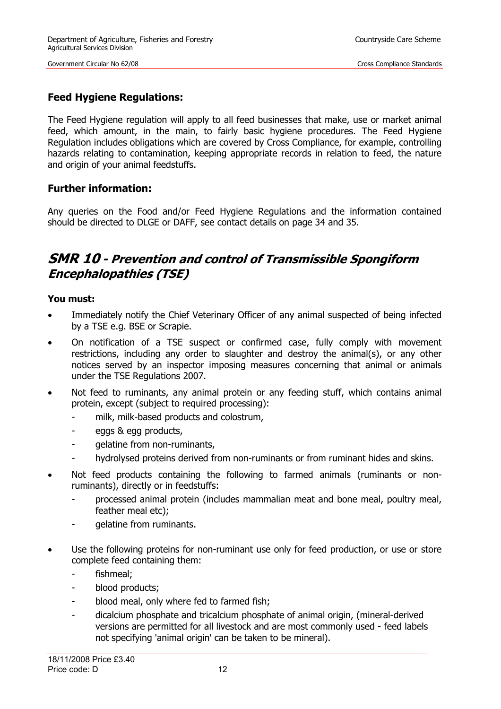### **Feed Hygiene Regulations:**

The Feed Hygiene regulation will apply to all feed businesses that make, use or market animal feed, which amount, in the main, to fairly basic hygiene procedures. The Feed Hygiene Regulation includes obligations which are covered by Cross Compliance, for example, controlling hazards relating to contamination, keeping appropriate records in relation to feed, the nature and origin of your animal feedstuffs.

### **Further information:**

Any queries on the Food and/or Feed Hygiene Regulations and the information contained should be directed to DLGE or DAFF, see contact details on page 34 and 35.

### <span id="page-11-0"></span>**SMR 10 - Prevention and control of Transmissible Spongiform Encephalopathies (TSE)**

#### **You must:**

- Immediately notify the Chief Veterinary Officer of any animal suspected of being infected by a TSE e.g. BSE or Scrapie.
- On notification of a TSE suspect or confirmed case, fully comply with movement restrictions, including any order to slaughter and destroy the animal(s), or any other notices served by an inspector imposing measures concerning that animal or animals under the TSE Regulations 2007.
- Not feed to ruminants, any animal protein or any feeding stuff, which contains animal protein, except (subject to required processing):
	- milk, milk-based products and colostrum,
	- eggs & egg products,
	- gelatine from non-ruminants,
	- hydrolysed proteins derived from non-ruminants or from ruminant hides and skins.
- Not feed products containing the following to farmed animals (ruminants or nonruminants), directly or in feedstuffs:
	- processed animal protein (includes mammalian meat and bone meal, poultry meal, feather meal etc);
	- gelatine from ruminants.
- Use the following proteins for non-ruminant use only for feed production, or use or store complete feed containing them:
	- fishmeal;
	- blood products;
	- blood meal, only where fed to farmed fish;
	- dicalcium phosphate and tricalcium phosphate of animal origin, (mineral-derived versions are permitted for all livestock and are most commonly used - feed labels not specifying 'animal origin' can be taken to be mineral).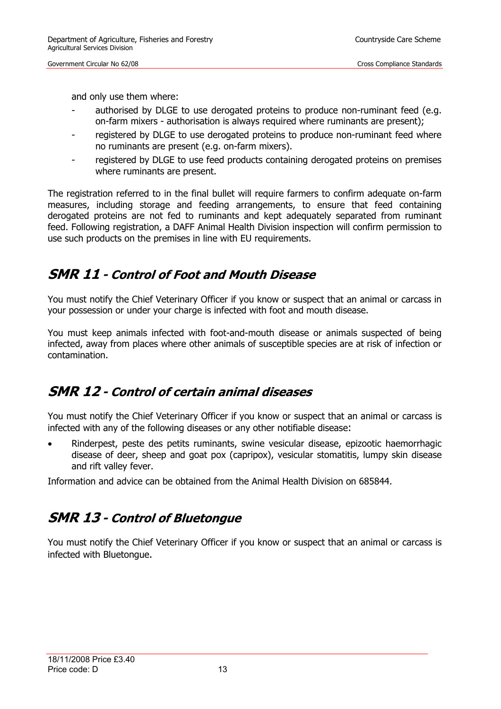and only use them where:

- authorised by DLGE to use derogated proteins to produce non-ruminant feed (e.g. on-farm mixers - authorisation is always required where ruminants are present);
- registered by DLGE to use derogated proteins to produce non-ruminant feed where no ruminants are present (e.g. on-farm mixers).
- registered by DLGE to use feed products containing derogated proteins on premises where ruminants are present.

The registration referred to in the final bullet will require farmers to confirm adequate on-farm measures, including storage and feeding arrangements, to ensure that feed containing derogated proteins are not fed to ruminants and kept adequately separated from ruminant feed. Following registration, a DAFF Animal Health Division inspection will confirm permission to use such products on the premises in line with EU requirements.

### <span id="page-12-0"></span>**SMR 11 - Control of Foot and Mouth Disease**

You must notify the Chief Veterinary Officer if you know or suspect that an animal or carcass in your possession or under your charge is infected with foot and mouth disease.

You must keep animals infected with foot-and-mouth disease or animals suspected of being infected, away from places where other animals of susceptible species are at risk of infection or contamination.

### <span id="page-12-1"></span>**SMR 12 - Control of certain animal diseases**

You must notify the Chief Veterinary Officer if you know or suspect that an animal or carcass is infected with any of the following diseases or any other notifiable disease:

Rinderpest, peste des petits ruminants, swine vesicular disease, epizootic haemorrhagic disease of deer, sheep and goat pox (capripox), vesicular stomatitis, lumpy skin disease and rift valley fever.

Information and advice can be obtained from the Animal Health Division on 685844.

### <span id="page-12-2"></span>**SMR 13 - Control of Bluetongue**

You must notify the Chief Veterinary Officer if you know or suspect that an animal or carcass is infected with Bluetongue.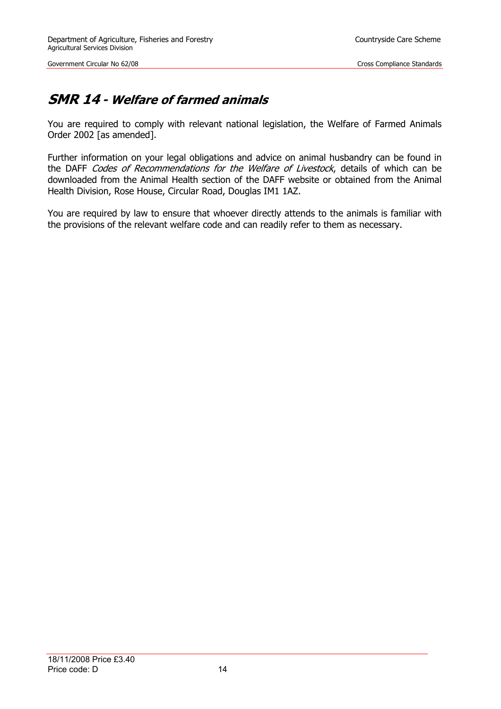### <span id="page-13-0"></span>**SMR 14 - Welfare of farmed animals**

You are required to comply with relevant national legislation, the Welfare of Farmed Animals Order 2002 [as amended].

Further information on your legal obligations and advice on animal husbandry can be found in the DAFF Codes of Recommendations for the Welfare of Livestock, details of which can be downloaded from the Animal Health section of the DAFF website or obtained from the Animal Health Division, Rose House, Circular Road, Douglas IM1 1AZ.

You are required by law to ensure that whoever directly attends to the animals is familiar with the provisions of the relevant welfare code and can readily refer to them as necessary.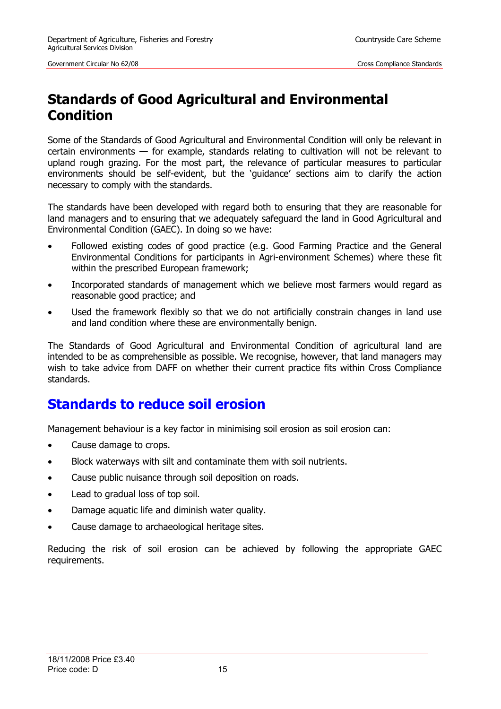## <span id="page-14-0"></span>**Standards of Good Agricultural and Environmental Condition**

Some of the Standards of Good Agricultural and Environmental Condition will only be relevant in certain environments — for example, standards relating to cultivation will not be relevant to upland rough grazing. For the most part, the relevance of particular measures to particular environments should be self-evident, but the 'guidance' sections aim to clarify the action necessary to comply with the standards.

The standards have been developed with regard both to ensuring that they are reasonable for land managers and to ensuring that we adequately safeguard the land in Good Agricultural and Environmental Condition (GAEC). In doing so we have:

- Followed existing codes of good practice (e.g. Good Farming Practice and the General Environmental Conditions for participants in Agri-environment Schemes) where these fit within the prescribed European framework;
- Incorporated standards of management which we believe most farmers would regard as reasonable good practice; and
- Used the framework flexibly so that we do not artificially constrain changes in land use and land condition where these are environmentally benign.

The Standards of Good Agricultural and Environmental Condition of agricultural land are intended to be as comprehensible as possible. We recognise, however, that land managers may wish to take advice from DAFF on whether their current practice fits within Cross Compliance standards.

### **Standards to reduce soil erosion**

Management behaviour is a key factor in minimising soil erosion as soil erosion can:

- Cause damage to crops.
- Block waterways with silt and contaminate them with soil nutrients.
- Cause public nuisance through soil deposition on roads.
- Lead to gradual loss of top soil.
- Damage aquatic life and diminish water quality.
- Cause damage to archaeological heritage sites.

Reducing the risk of soil erosion can be achieved by following the appropriate GAEC requirements.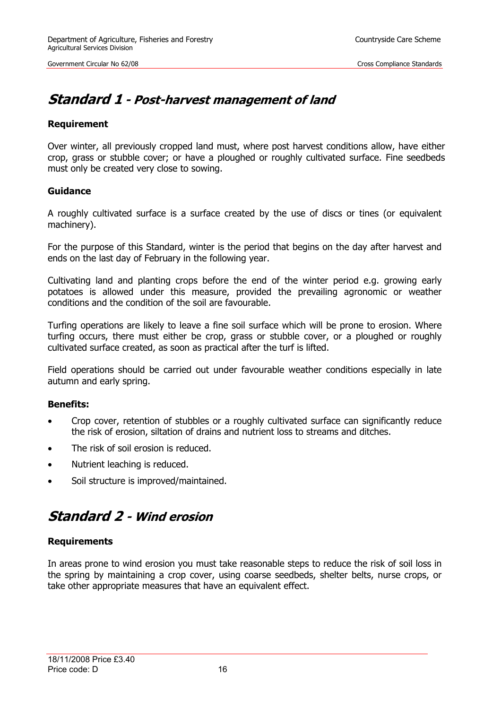### <span id="page-15-0"></span>**Standard 1 - Post-harvest management of land**

#### **Requirement**

Over winter, all previously cropped land must, where post harvest conditions allow, have either crop, grass or stubble cover; or have a ploughed or roughly cultivated surface. Fine seedbeds must only be created very close to sowing.

#### **Guidance**

A roughly cultivated surface is a surface created by the use of discs or tines (or equivalent machinery).

For the purpose of this Standard, winter is the period that begins on the day after harvest and ends on the last day of February in the following year.

Cultivating land and planting crops before the end of the winter period e.g. growing early potatoes is allowed under this measure, provided the prevailing agronomic or weather conditions and the condition of the soil are favourable.

Turfing operations are likely to leave a fine soil surface which will be prone to erosion. Where turfing occurs, there must either be crop, grass or stubble cover, or a ploughed or roughly cultivated surface created, as soon as practical after the turf is lifted.

Field operations should be carried out under favourable weather conditions especially in late autumn and early spring.

#### **Benefits:**

- Crop cover, retention of stubbles or a roughly cultivated surface can significantly reduce the risk of erosion, siltation of drains and nutrient loss to streams and ditches.
- The risk of soil erosion is reduced.
- Nutrient leaching is reduced.
- Soil structure is improved/maintained.

### <span id="page-15-1"></span>**Standard 2 - Wind erosion**

#### **Requirements**

In areas prone to wind erosion you must take reasonable steps to reduce the risk of soil loss in the spring by maintaining a crop cover, using coarse seedbeds, shelter belts, nurse crops, or take other appropriate measures that have an equivalent effect.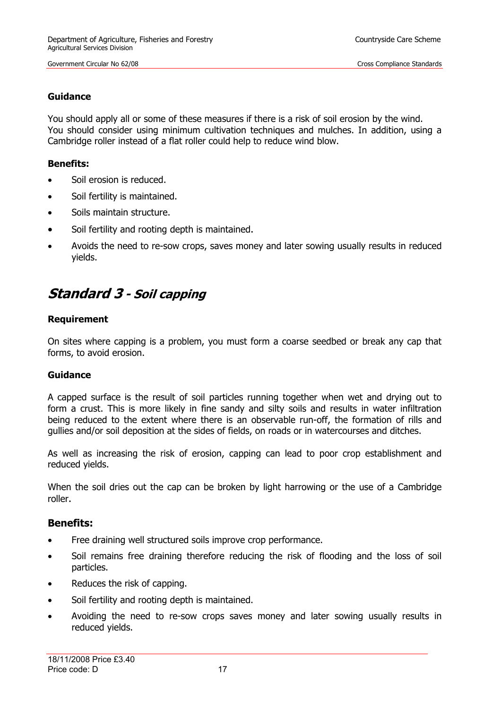#### **Guidance**

You should apply all or some of these measures if there is a risk of soil erosion by the wind. You should consider using minimum cultivation techniques and mulches. In addition, using a Cambridge roller instead of a flat roller could help to reduce wind blow.

#### **Benefits:**

- Soil erosion is reduced.
- Soil fertility is maintained.
- Soils maintain structure.
- Soil fertility and rooting depth is maintained.
- Avoids the need to re-sow crops, saves money and later sowing usually results in reduced yields.

## <span id="page-16-0"></span>**Standard 3 - Soil capping**

#### **Requirement**

On sites where capping is a problem, you must form a coarse seedbed or break any cap that forms, to avoid erosion.

#### **Guidance**

A capped surface is the result of soil particles running together when wet and drying out to form a crust. This is more likely in fine sandy and silty soils and results in water infiltration being reduced to the extent where there is an observable run-off, the formation of rills and gullies and/or soil deposition at the sides of fields, on roads or in watercourses and ditches.

As well as increasing the risk of erosion, capping can lead to poor crop establishment and reduced yields.

When the soil dries out the cap can be broken by light harrowing or the use of a Cambridge roller.

#### **Benefits:**

- Free draining well structured soils improve crop performance.
- Soil remains free draining therefore reducing the risk of flooding and the loss of soil particles.
- Reduces the risk of capping.
- Soil fertility and rooting depth is maintained.
- Avoiding the need to re-sow crops saves money and later sowing usually results in reduced yields.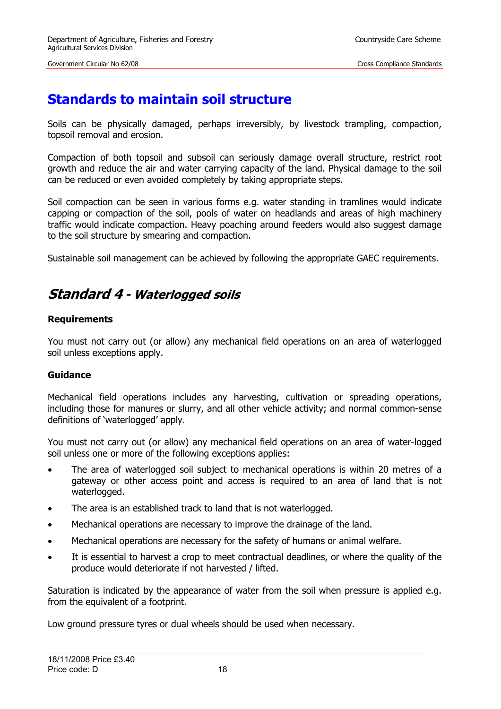## **Standards to maintain soil structure**

Soils can be physically damaged, perhaps irreversibly, by livestock trampling, compaction, topsoil removal and erosion.

Compaction of both topsoil and subsoil can seriously damage overall structure, restrict root growth and reduce the air and water carrying capacity of the land. Physical damage to the soil can be reduced or even avoided completely by taking appropriate steps.

Soil compaction can be seen in various forms e.g. water standing in tramlines would indicate capping or compaction of the soil, pools of water on headlands and areas of high machinery traffic would indicate compaction. Heavy poaching around feeders would also suggest damage to the soil structure by smearing and compaction.

Sustainable soil management can be achieved by following the appropriate GAEC requirements.

### <span id="page-17-0"></span>**Standard 4 - Waterlogged soils**

#### **Requirements**

You must not carry out (or allow) any mechanical field operations on an area of waterlogged soil unless exceptions apply.

#### **Guidance**

Mechanical field operations includes any harvesting, cultivation or spreading operations, including those for manures or slurry, and all other vehicle activity; and normal common-sense definitions of 'waterlogged' apply.

You must not carry out (or allow) any mechanical field operations on an area of water-logged soil unless one or more of the following exceptions applies:

- The area of waterlogged soil subject to mechanical operations is within 20 metres of a gateway or other access point and access is required to an area of land that is not waterlogged.
- The area is an established track to land that is not waterlogged.
- Mechanical operations are necessary to improve the drainage of the land.
- Mechanical operations are necessary for the safety of humans or animal welfare.
- It is essential to harvest a crop to meet contractual deadlines, or where the quality of the produce would deteriorate if not harvested / lifted.

Saturation is indicated by the appearance of water from the soil when pressure is applied e.g. from the equivalent of a footprint.

Low ground pressure tyres or dual wheels should be used when necessary.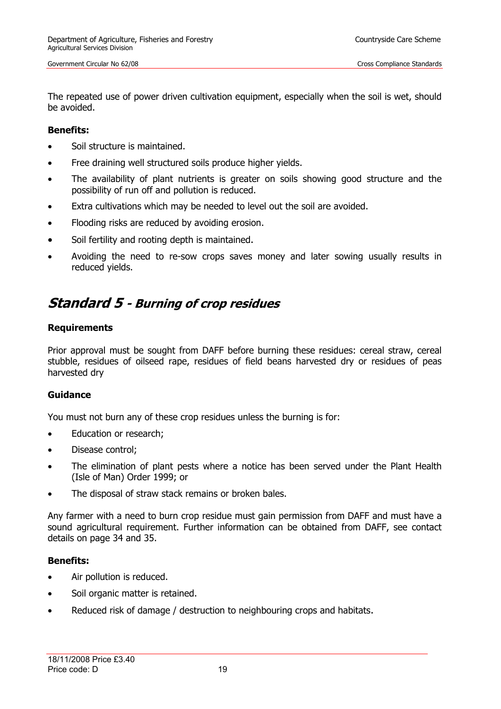The repeated use of power driven cultivation equipment, especially when the soil is wet, should be avoided.

#### **Benefits:**

- Soil structure is maintained.
- Free draining well structured soils produce higher yields.
- The availability of plant nutrients is greater on soils showing good structure and the possibility of run off and pollution is reduced.
- Extra cultivations which may be needed to level out the soil are avoided.
- Flooding risks are reduced by avoiding erosion.
- Soil fertility and rooting depth is maintained.
- Avoiding the need to re-sow crops saves money and later sowing usually results in reduced yields.

### <span id="page-18-0"></span>**Standard 5 - Burning of crop residues**

#### **Requirements**

Prior approval must be sought from DAFF before burning these residues: cereal straw, cereal stubble, residues of oilseed rape, residues of field beans harvested dry or residues of peas harvested dry

#### **Guidance**

You must not burn any of these crop residues unless the burning is for:

- Education or research;
- Disease control;
- The elimination of plant pests where a notice has been served under the Plant Health (Isle of Man) Order 1999; or
- The disposal of straw stack remains or broken bales.

Any farmer with a need to burn crop residue must gain permission from DAFF and must have a sound agricultural requirement. Further information can be obtained from DAFF, see contact details on page 34 and 35.

#### **Benefits:**

- Air pollution is reduced.
- Soil organic matter is retained.
- Reduced risk of damage / destruction to neighbouring crops and habitats.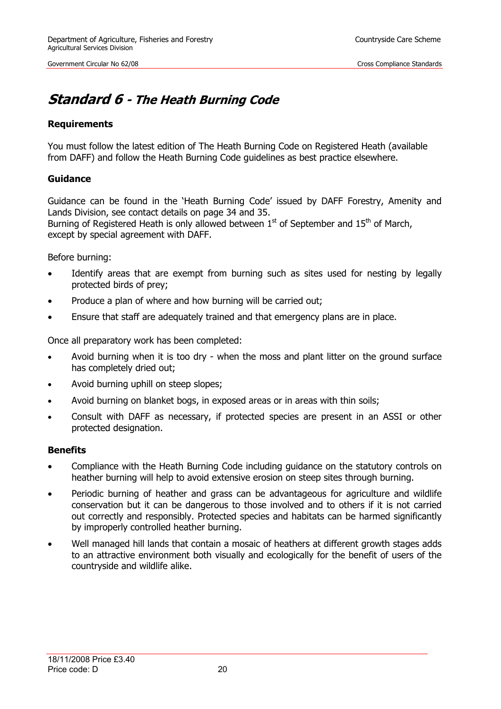## <span id="page-19-0"></span>**Standard 6 - The Heath Burning Code**

#### **Requirements**

You must follow the latest edition of The Heath Burning Code on Registered Heath (available from DAFF) and follow the Heath Burning Code guidelines as best practice elsewhere.

#### **Guidance**

Guidance can be found in the 'Heath Burning Code' issued by DAFF Forestry, Amenity and Lands Division, see contact details on page 34 and 35. Burning of Registered Heath is only allowed between  $1<sup>st</sup>$  of September and  $15<sup>th</sup>$  of March, except by special agreement with DAFF.

Before burning:

- Identify areas that are exempt from burning such as sites used for nesting by legally protected birds of prey;
- Produce a plan of where and how burning will be carried out;
- Ensure that staff are adequately trained and that emergency plans are in place.

Once all preparatory work has been completed:

- Avoid burning when it is too dry when the moss and plant litter on the ground surface has completely dried out;
- Avoid burning uphill on steep slopes;
- Avoid burning on blanket bogs, in exposed areas or in areas with thin soils;
- Consult with DAFF as necessary, if protected species are present in an ASSI or other protected designation.

#### **Benefits**

- Compliance with the Heath Burning Code including guidance on the statutory controls on heather burning will help to avoid extensive erosion on steep sites through burning.
- Periodic burning of heather and grass can be advantageous for agriculture and wildlife conservation but it can be dangerous to those involved and to others if it is not carried out correctly and responsibly. Protected species and habitats can be harmed significantly by improperly controlled heather burning.
- Well managed hill lands that contain a mosaic of heathers at different growth stages adds to an attractive environment both visually and ecologically for the benefit of users of the countryside and wildlife alike.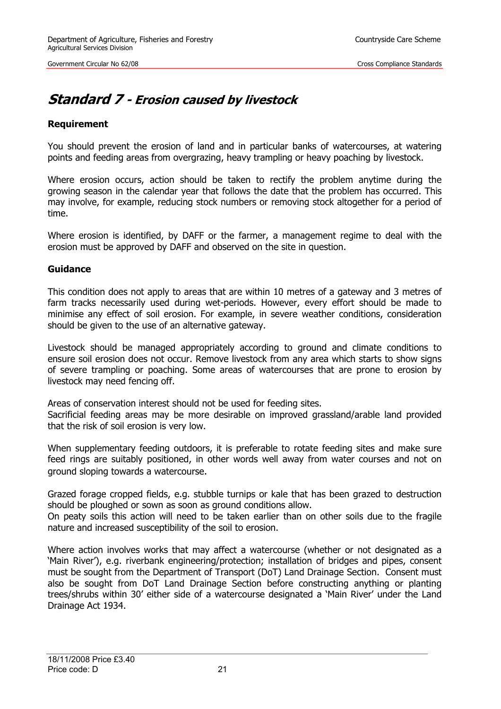### <span id="page-20-0"></span>**Standard 7 - Erosion caused by livestock**

#### **Requirement**

You should prevent the erosion of land and in particular banks of watercourses, at watering points and feeding areas from overgrazing, heavy trampling or heavy poaching by livestock.

Where erosion occurs, action should be taken to rectify the problem anytime during the growing season in the calendar year that follows the date that the problem has occurred. This may involve, for example, reducing stock numbers or removing stock altogether for a period of time.

Where erosion is identified, by DAFF or the farmer, a management regime to deal with the erosion must be approved by DAFF and observed on the site in question.

#### **Guidance**

This condition does not apply to areas that are within 10 metres of a gateway and 3 metres of farm tracks necessarily used during wet-periods. However, every effort should be made to minimise any effect of soil erosion. For example, in severe weather conditions, consideration should be given to the use of an alternative gateway.

Livestock should be managed appropriately according to ground and climate conditions to ensure soil erosion does not occur. Remove livestock from any area which starts to show signs of severe trampling or poaching. Some areas of watercourses that are prone to erosion by livestock may need fencing off.

Areas of conservation interest should not be used for feeding sites.

Sacrificial feeding areas may be more desirable on improved grassland/arable land provided that the risk of soil erosion is very low.

When supplementary feeding outdoors, it is preferable to rotate feeding sites and make sure feed rings are suitably positioned, in other words well away from water courses and not on ground sloping towards a watercourse.

Grazed forage cropped fields, e.g. stubble turnips or kale that has been grazed to destruction should be ploughed or sown as soon as ground conditions allow.

On peaty soils this action will need to be taken earlier than on other soils due to the fragile nature and increased susceptibility of the soil to erosion.

Where action involves works that may affect a watercourse (whether or not designated as a 'Main River'), e.g. riverbank engineering/protection; installation of bridges and pipes, consent must be sought from the Department of Transport (DoT) Land Drainage Section. Consent must also be sought from DoT Land Drainage Section before constructing anything or planting trees/shrubs within 30' either side of a watercourse designated a 'Main River' under the Land Drainage Act 1934.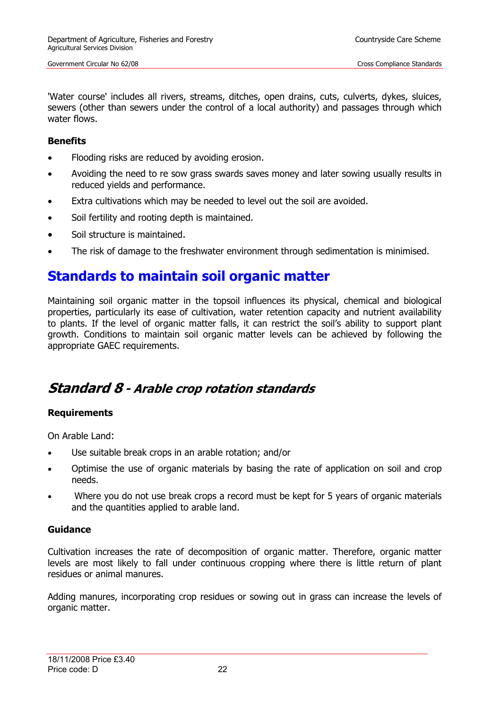'Water course' includes all rivers, streams, ditches, open drains, cuts, culverts, dykes, sluices, sewers (other than sewers under the control of a local authority) and passages through which water flows.

#### **Benefits**

- Flooding risks are reduced by avoiding erosion.
- Avoiding the need to re sow grass swards saves money and later sowing usually results in reduced yields and performance.
- Extra cultivations which may be needed to level out the soil are avoided.
- Soil fertility and rooting depth is maintained.
- Soil structure is maintained.
- The risk of damage to the freshwater environment through sedimentation is minimised.

### **Standards to maintain soil organic matter**

Maintaining soil organic matter in the topsoil influences its physical, chemical and biological properties, particularly its ease of cultivation, water retention capacity and nutrient availability to plants. If the level of organic matter falls, it can restrict the soil's ability to support plant growth. Conditions to maintain soil organic matter levels can be achieved by following the appropriate GAEC requirements.

### **Standard 8 - Arable crop rotation standards**

#### **Requirements**

On Arable Land:

- Use suitable break crops in an arable rotation; and/or
- Optimise the use of organic materials by basing the rate of application on soil and crop needs.
- Where you do not use break crops a record must be kept for 5 years of organic materials and the quantities applied to arable land.

#### **Guidance**

Cultivation increases the rate of decomposition of organic matter. Therefore, organic matter levels are most likely to fall under continuous cropping where there is little return of plant residues or animal manures.

Adding manures, incorporating crop residues or sowing out in grass can increase the levels of organic matter.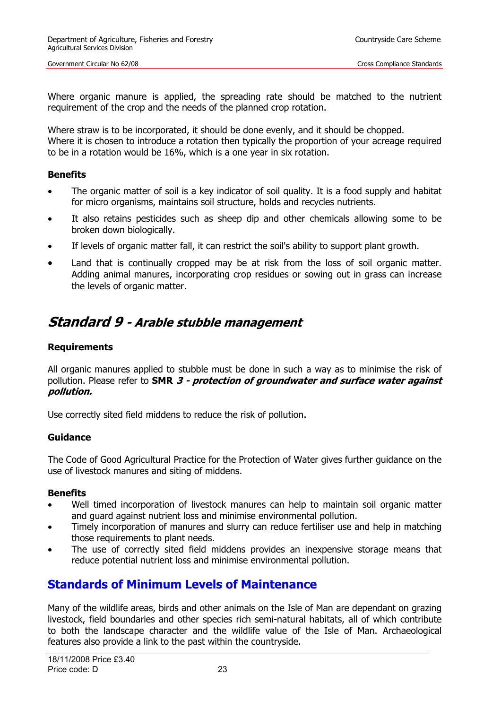Where organic manure is applied, the spreading rate should be matched to the nutrient requirement of the crop and the needs of the planned crop rotation.

Where straw is to be incorporated, it should be done evenly, and it should be chopped. Where it is chosen to introduce a rotation then typically the proportion of your acreage required to be in a rotation would be 16%, which is a one year in six rotation.

#### **Benefits**

- The organic matter of soil is a key indicator of soil quality. It is a food supply and habitat for micro organisms, maintains soil structure, holds and recycles nutrients.
- It also retains pesticides such as sheep dip and other chemicals allowing some to be broken down biologically.
- If levels of organic matter fall, it can restrict the soil's ability to support plant growth.
- Land that is continually cropped may be at risk from the loss of soil organic matter. Adding animal manures, incorporating crop residues or sowing out in grass can increase the levels of organic matter.

### <span id="page-22-0"></span>**Standard 9 - Arable stubble management**

#### **Requirements**

All organic manures applied to stubble must be done in such a way as to minimise the risk of pollution. Please refer to **SMR 3 - protection of groundwater and surface water against pollution.**

Use correctly sited field middens to reduce the risk of pollution.

#### **Guidance**

The Code of Good Agricultural Practice for the Protection of Water gives further guidance on the use of livestock manures and siting of middens.

#### **Benefits**

- Well timed incorporation of livestock manures can help to maintain soil organic matter and guard against nutrient loss and minimise environmental pollution.
- Timely incorporation of manures and slurry can reduce fertiliser use and help in matching those requirements to plant needs.
- The use of correctly sited field middens provides an inexpensive storage means that reduce potential nutrient loss and minimise environmental pollution.

### **Standards of Minimum Levels of Maintenance**

Many of the wildlife areas, birds and other animals on the Isle of Man are dependant on grazing livestock, field boundaries and other species rich semi-natural habitats, all of which contribute to both the landscape character and the wildlife value of the Isle of Man. Archaeological features also provide a link to the past within the countryside.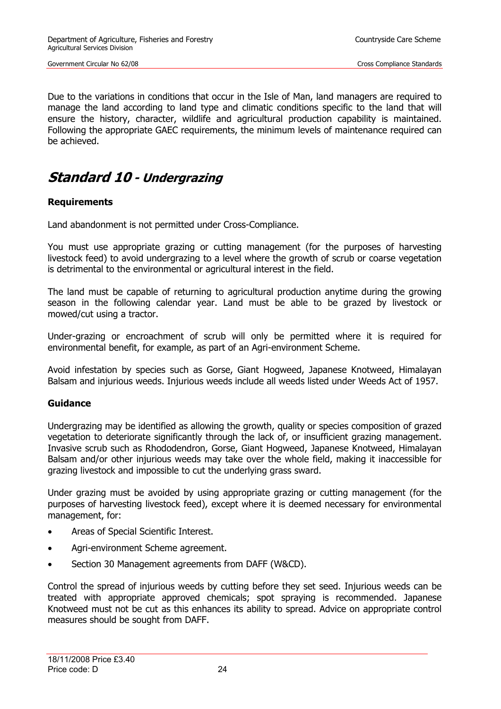Due to the variations in conditions that occur in the Isle of Man, land managers are required to manage the land according to land type and climatic conditions specific to the land that will ensure the history, character, wildlife and agricultural production capability is maintained. Following the appropriate GAEC requirements, the minimum levels of maintenance required can be achieved.

### <span id="page-23-0"></span>**Standard 10 - Undergrazing**

#### **Requirements**

Land abandonment is not permitted under Cross-Compliance.

You must use appropriate grazing or cutting management (for the purposes of harvesting livestock feed) to avoid undergrazing to a level where the growth of scrub or coarse vegetation is detrimental to the environmental or agricultural interest in the field.

 The land must be capable of returning to agricultural production anytime during the growing season in the following calendar year. Land must be able to be grazed by livestock or mowed/cut using a tractor.

Under-grazing or encroachment of scrub will only be permitted where it is required for environmental benefit, for example, as part of an Agri-environment Scheme.

Avoid infestation by species such as Gorse, Giant Hogweed, Japanese Knotweed, Himalayan Balsam and injurious weeds. Injurious weeds include all weeds listed under Weeds Act of 1957.

#### **Guidance**

Undergrazing may be identified as allowing the growth, quality or species composition of grazed vegetation to deteriorate significantly through the lack of, or insufficient grazing management. Invasive scrub such as Rhododendron, Gorse, Giant Hogweed, Japanese Knotweed, Himalayan Balsam and/or other injurious weeds may take over the whole field, making it inaccessible for grazing livestock and impossible to cut the underlying grass sward.

Under grazing must be avoided by using appropriate grazing or cutting management (for the purposes of harvesting livestock feed), except where it is deemed necessary for environmental management, for:

- Areas of Special Scientific Interest.
- Agri-environment Scheme agreement.
- Section 30 Management agreements from DAFF (W&CD).

Control the spread of injurious weeds by cutting before they set seed. Injurious weeds can be treated with appropriate approved chemicals; spot spraying is recommended. Japanese Knotweed must not be cut as this enhances its ability to spread. Advice on appropriate control measures should be sought from DAFF.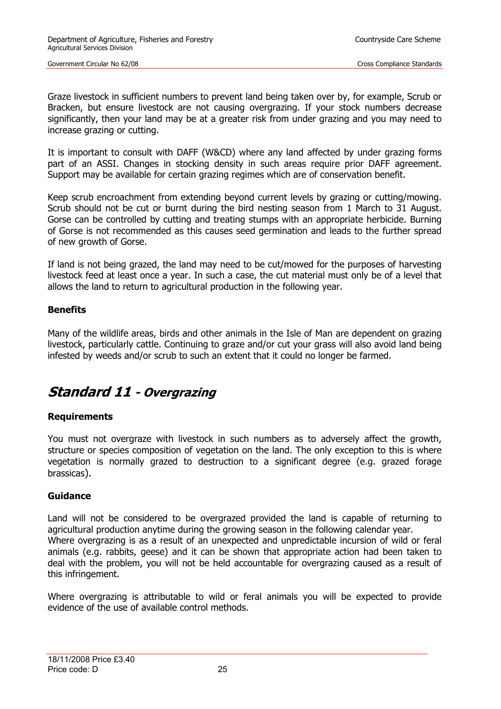Graze livestock in sufficient numbers to prevent land being taken over by, for example, Scrub or Bracken, but ensure livestock are not causing overgrazing. If your stock numbers decrease significantly, then your land may be at a greater risk from under grazing and you may need to increase grazing or cutting.

It is important to consult with DAFF (W&CD) where any land affected by under grazing forms part of an ASSI. Changes in stocking density in such areas require prior DAFF agreement. Support may be available for certain grazing regimes which are of conservation benefit.

Keep scrub encroachment from extending beyond current levels by grazing or cutting/mowing. Scrub should not be cut or burnt during the bird nesting season from 1 March to 31 August. Gorse can be controlled by cutting and treating stumps with an appropriate herbicide. Burning of Gorse is not recommended as this causes seed germination and leads to the further spread of new growth of Gorse.

If land is not being grazed, the land may need to be cut/mowed for the purposes of harvesting livestock feed at least once a year. In such a case, the cut material must only be of a level that allows the land to return to agricultural production in the following year.

#### **Benefits**

Many of the wildlife areas, birds and other animals in the Isle of Man are dependent on grazing livestock, particularly cattle. Continuing to graze and/or cut your grass will also avoid land being infested by weeds and/or scrub to such an extent that it could no longer be farmed.

### <span id="page-24-0"></span>**Standard 11 - Overgrazing**

#### **Requirements**

You must not overgraze with livestock in such numbers as to adversely affect the growth, structure or species composition of vegetation on the land. The only exception to this is where vegetation is normally grazed to destruction to a significant degree (e.g. grazed forage brassicas).

#### **Guidance**

Land will not be considered to be overgrazed provided the land is capable of returning to agricultural production anytime during the growing season in the following calendar year. Where overgrazing is as a result of an unexpected and unpredictable incursion of wild or feral animals (e.g. rabbits, geese) and it can be shown that appropriate action had been taken to deal with the problem, you will not be held accountable for overgrazing caused as a result of this infringement.

Where overgrazing is attributable to wild or feral animals you will be expected to provide evidence of the use of available control methods.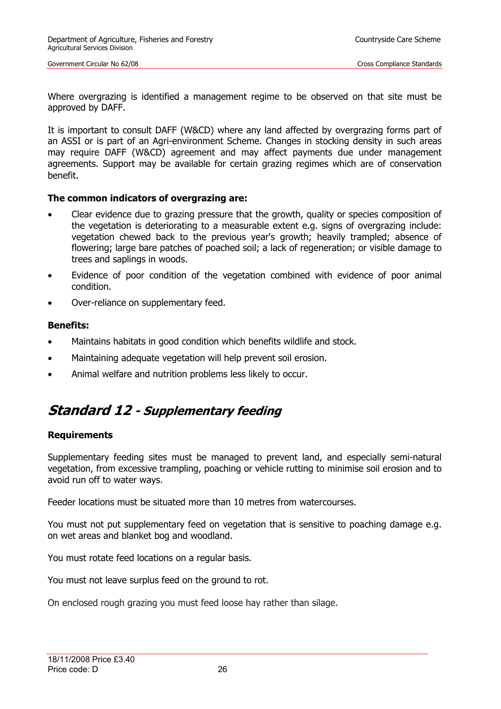Where overgrazing is identified a management regime to be observed on that site must be approved by DAFF.

It is important to consult DAFF (W&CD) where any land affected by overgrazing forms part of an ASSI or is part of an Agri-environment Scheme. Changes in stocking density in such areas may require DAFF (W&CD) agreement and may affect payments due under management agreements. Support may be available for certain grazing regimes which are of conservation benefit.

#### **The common indicators of overgrazing are:**

- Clear evidence due to grazing pressure that the growth, quality or species composition of the vegetation is deteriorating to a measurable extent e.g. signs of overgrazing include: vegetation chewed back to the previous year's growth; heavily trampled; absence of flowering; large bare patches of poached soil; a lack of regeneration; or visible damage to trees and saplings in woods.
- Evidence of poor condition of the vegetation combined with evidence of poor animal condition.
- Over-reliance on supplementary feed.

#### **Benefits:**

- Maintains habitats in good condition which benefits wildlife and stock.
- Maintaining adequate vegetation will help prevent soil erosion.
- Animal welfare and nutrition problems less likely to occur.

### <span id="page-25-0"></span>**Standard 12 - Supplementary feeding**

#### **Requirements**

Supplementary feeding sites must be managed to prevent land, and especially semi-natural vegetation, from excessive trampling, poaching or vehicle rutting to minimise soil erosion and to avoid run off to water ways.

Feeder locations must be situated more than 10 metres from watercourses.

You must not put supplementary feed on vegetation that is sensitive to poaching damage e.g. on wet areas and blanket bog and woodland.

You must rotate feed locations on a regular basis.

You must not leave surplus feed on the ground to rot.

On enclosed rough grazing you must feed loose hay rather than silage.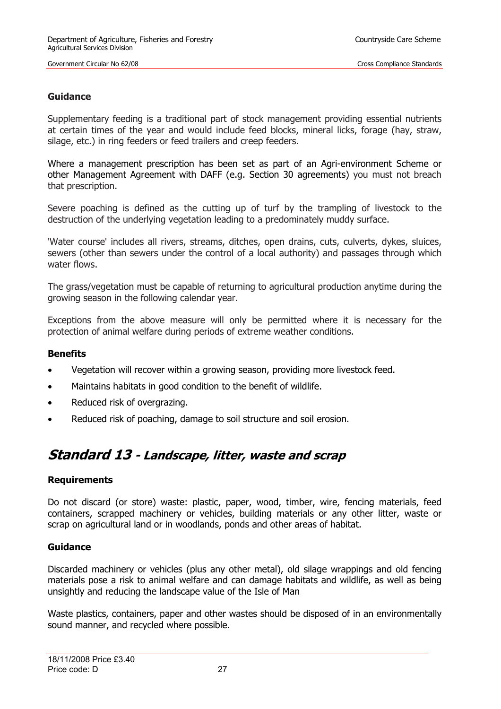#### **Guidance**

Supplementary feeding is a traditional part of stock management providing essential nutrients at certain times of the year and would include feed blocks, mineral licks, forage (hay, straw, silage, etc.) in ring feeders or feed trailers and creep feeders.

Where a management prescription has been set as part of an Agri-environment Scheme or other Management Agreement with DAFF (e.g. Section 30 agreements) you must not breach that prescription.

Severe poaching is defined as the cutting up of turf by the trampling of livestock to the destruction of the underlying vegetation leading to a predominately muddy surface.

'Water course' includes all rivers, streams, ditches, open drains, cuts, culverts, dykes, sluices, sewers (other than sewers under the control of a local authority) and passages through which water flows.

The grass/vegetation must be capable of returning to agricultural production anytime during the growing season in the following calendar year.

Exceptions from the above measure will only be permitted where it is necessary for the protection of animal welfare during periods of extreme weather conditions.

#### **Benefits**

- Vegetation will recover within a growing season, providing more livestock feed.
- Maintains habitats in good condition to the benefit of wildlife.
- Reduced risk of overgrazing.
- Reduced risk of poaching, damage to soil structure and soil erosion.

### <span id="page-26-0"></span>**Standard 13 - Landscape, litter, waste and scrap**

#### **Requirements**

Do not discard (or store) waste: plastic, paper, wood, timber, wire, fencing materials, feed containers, scrapped machinery or vehicles, building materials or any other litter, waste or scrap on agricultural land or in woodlands, ponds and other areas of habitat.

#### **Guidance**

Discarded machinery or vehicles (plus any other metal), old silage wrappings and old fencing materials pose a risk to animal welfare and can damage habitats and wildlife, as well as being unsightly and reducing the landscape value of the Isle of Man

Waste plastics, containers, paper and other wastes should be disposed of in an environmentally sound manner, and recycled where possible.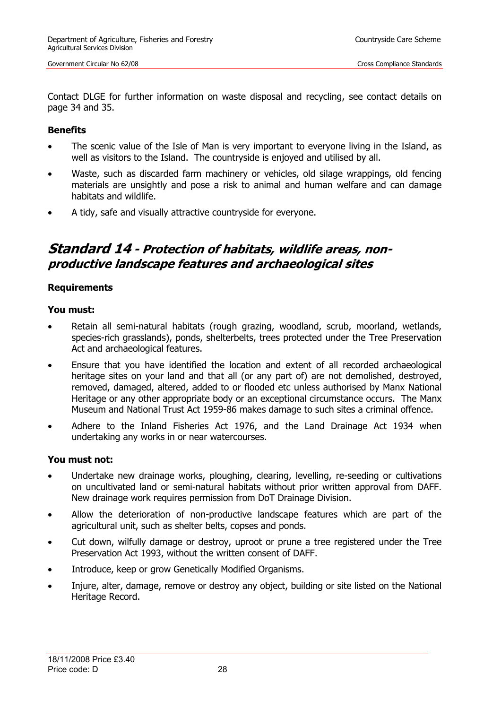Contact DLGE for further information on waste disposal and recycling, see contact details on page 34 and 35.

#### **Benefits**

- The scenic value of the Isle of Man is very important to everyone living in the Island, as well as visitors to the Island. The countryside is enjoyed and utilised by all.
- Waste, such as discarded farm machinery or vehicles, old silage wrappings, old fencing materials are unsightly and pose a risk to animal and human welfare and can damage habitats and wildlife.
- A tidy, safe and visually attractive countryside for everyone.

### <span id="page-27-0"></span>**Standard 14 - Protection of habitats, wildlife areas, nonproductive landscape features and archaeological sites**

#### **Requirements**

#### **You must:**

- Retain all semi-natural habitats (rough grazing, woodland, scrub, moorland, wetlands, species-rich grasslands), ponds, shelterbelts, trees protected under the Tree Preservation Act and archaeological features.
- Ensure that you have identified the location and extent of all recorded archaeological heritage sites on your land and that all (or any part of) are not demolished, destroyed, removed, damaged, altered, added to or flooded etc unless authorised by Manx National Heritage or any other appropriate body or an exceptional circumstance occurs. The Manx Museum and National Trust Act 1959-86 makes damage to such sites a criminal offence.
- Adhere to the Inland Fisheries Act 1976, and the Land Drainage Act 1934 when undertaking any works in or near watercourses.

#### **You must not:**

- Undertake new drainage works, ploughing, clearing, levelling, re-seeding or cultivations on uncultivated land or semi-natural habitats without prior written approval from DAFF. New drainage work requires permission from DoT Drainage Division.
- Allow the deterioration of non-productive landscape features which are part of the agricultural unit, such as shelter belts, copses and ponds.
- Cut down, wilfully damage or destroy, uproot or prune a tree registered under the Tree Preservation Act 1993, without the written consent of DAFF.
- Introduce, keep or grow Genetically Modified Organisms.
- Injure, alter, damage, remove or destroy any object, building or site listed on the National Heritage Record.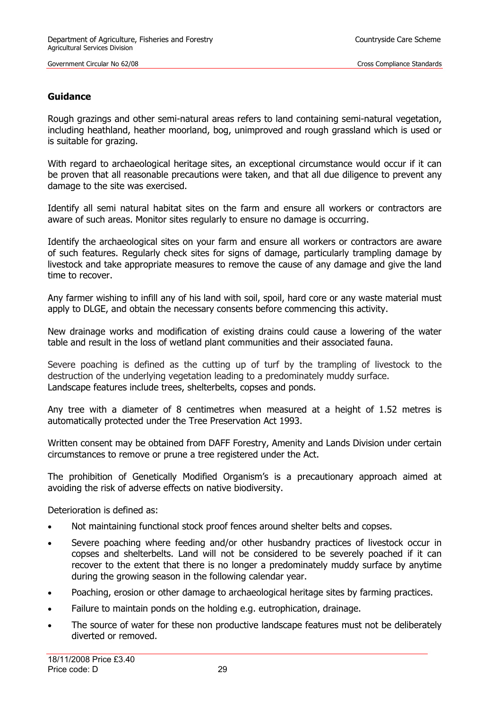#### **Guidance**

Rough grazings and other semi-natural areas refers to land containing semi-natural vegetation, including heathland, heather moorland, bog, unimproved and rough grassland which is used or is suitable for grazing.

With regard to archaeological heritage sites, an exceptional circumstance would occur if it can be proven that all reasonable precautions were taken, and that all due diligence to prevent any damage to the site was exercised.

Identify all semi natural habitat sites on the farm and ensure all workers or contractors are aware of such areas. Monitor sites regularly to ensure no damage is occurring.

Identify the archaeological sites on your farm and ensure all workers or contractors are aware of such features. Regularly check sites for signs of damage, particularly trampling damage by livestock and take appropriate measures to remove the cause of any damage and give the land time to recover.

Any farmer wishing to infill any of his land with soil, spoil, hard core or any waste material must apply to DLGE, and obtain the necessary consents before commencing this activity.

New drainage works and modification of existing drains could cause a lowering of the water table and result in the loss of wetland plant communities and their associated fauna.

Severe poaching is defined as the cutting up of turf by the trampling of livestock to the destruction of the underlying vegetation leading to a predominately muddy surface. Landscape features include trees, shelterbelts, copses and ponds.

Any tree with a diameter of 8 centimetres when measured at a height of 1.52 metres is automatically protected under the Tree Preservation Act 1993.

Written consent may be obtained from DAFF Forestry, Amenity and Lands Division under certain circumstances to remove or prune a tree registered under the Act.

The prohibition of Genetically Modified Organism's is a precautionary approach aimed at avoiding the risk of adverse effects on native biodiversity.

Deterioration is defined as:

- Not maintaining functional stock proof fences around shelter belts and copses.
- Severe poaching where feeding and/or other husbandry practices of livestock occur in copses and shelterbelts. Land will not be considered to be severely poached if it can recover to the extent that there is no longer a predominately muddy surface by anytime during the growing season in the following calendar year.
- Poaching, erosion or other damage to archaeological heritage sites by farming practices.
- Failure to maintain ponds on the holding e.g. eutrophication, drainage.
- The source of water for these non productive landscape features must not be deliberately diverted or removed.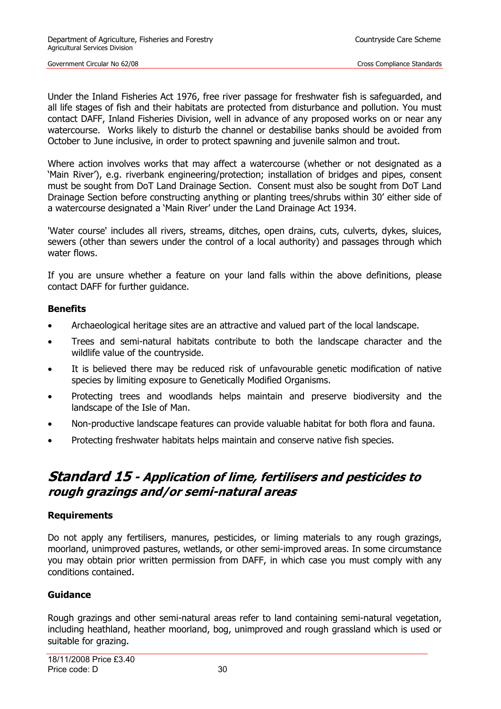Under the Inland Fisheries Act 1976, free river passage for freshwater fish is safeguarded, and all life stages of fish and their habitats are protected from disturbance and pollution. You must contact DAFF, Inland Fisheries Division, well in advance of any proposed works on or near any watercourse. Works likely to disturb the channel or destabilise banks should be avoided from October to June inclusive, in order to protect spawning and juvenile salmon and trout.

Where action involves works that may affect a watercourse (whether or not designated as a 'Main River'), e.g. riverbank engineering/protection; installation of bridges and pipes, consent must be sought from DoT Land Drainage Section. Consent must also be sought from DoT Land Drainage Section before constructing anything or planting trees/shrubs within 30' either side of a watercourse designated a 'Main River' under the Land Drainage Act 1934.

'Water course' includes all rivers, streams, ditches, open drains, cuts, culverts, dykes, sluices, sewers (other than sewers under the control of a local authority) and passages through which water flows.

If you are unsure whether a feature on your land falls within the above definitions, please contact DAFF for further guidance.

#### **Benefits**

- Archaeological heritage sites are an attractive and valued part of the local landscape.
- Trees and semi-natural habitats contribute to both the landscape character and the wildlife value of the countryside.
- It is believed there may be reduced risk of unfavourable genetic modification of native species by limiting exposure to Genetically Modified Organisms.
- Protecting trees and woodlands helps maintain and preserve biodiversity and the landscape of the Isle of Man.
- Non-productive landscape features can provide valuable habitat for both flora and fauna.
- Protecting freshwater habitats helps maintain and conserve native fish species.

### <span id="page-29-0"></span>**Standard 15 - Application of lime, fertilisers and pesticides to rough grazings and/or semi-natural areas**

#### **Requirements**

Do not apply any fertilisers, manures, pesticides, or liming materials to any rough grazings, moorland, unimproved pastures, wetlands, or other semi-improved areas. In some circumstance you may obtain prior written permission from DAFF, in which case you must comply with any conditions contained.

#### **Guidance**

Rough grazings and other semi-natural areas refer to land containing semi-natural vegetation, including heathland, heather moorland, bog, unimproved and rough grassland which is used or suitable for grazing.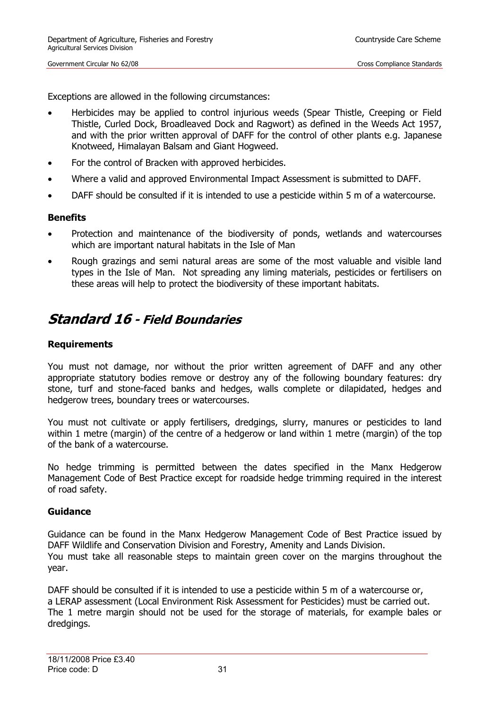Exceptions are allowed in the following circumstances:

- Herbicides may be applied to control injurious weeds (Spear Thistle, Creeping or Field Thistle, Curled Dock, Broadleaved Dock and Ragwort) as defined in the Weeds Act 1957, and with the prior written approval of DAFF for the control of other plants e.g. Japanese Knotweed, Himalayan Balsam and Giant Hogweed.
- For the control of Bracken with approved herbicides.
- Where a valid and approved Environmental Impact Assessment is submitted to DAFF.
- DAFF should be consulted if it is intended to use a pesticide within 5 m of a watercourse.

#### **Benefits**

- Protection and maintenance of the biodiversity of ponds, wetlands and watercourses which are important natural habitats in the Isle of Man
- Rough grazings and semi natural areas are some of the most valuable and visible land types in the Isle of Man. Not spreading any liming materials, pesticides or fertilisers on these areas will help to protect the biodiversity of these important habitats.

### <span id="page-30-0"></span>**Standard 16 - Field Boundaries**

#### **Requirements**

You must not damage, nor without the prior written agreement of DAFF and any other appropriate statutory bodies remove or destroy any of the following boundary features: dry stone, turf and stone-faced banks and hedges, walls complete or dilapidated, hedges and hedgerow trees, boundary trees or watercourses.

You must not cultivate or apply fertilisers, dredgings, slurry, manures or pesticides to land within 1 metre (margin) of the centre of a hedgerow or land within 1 metre (margin) of the top of the bank of a watercourse.

No hedge trimming is permitted between the dates specified in the Manx Hedgerow Management Code of Best Practice except for roadside hedge trimming required in the interest of road safety.

#### **Guidance**

Guidance can be found in the Manx Hedgerow Management Code of Best Practice issued by DAFF Wildlife and Conservation Division and Forestry, Amenity and Lands Division. You must take all reasonable steps to maintain green cover on the margins throughout the year.

DAFF should be consulted if it is intended to use a pesticide within 5 m of a watercourse or, a LERAP assessment (Local Environment Risk Assessment for Pesticides) must be carried out. The 1 metre margin should not be used for the storage of materials, for example bales or dredgings.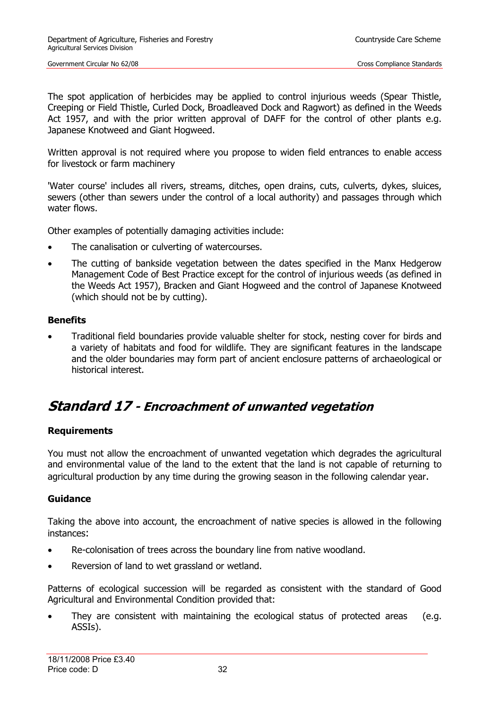The spot application of herbicides may be applied to control injurious weeds (Spear Thistle, Creeping or Field Thistle, Curled Dock, Broadleaved Dock and Ragwort) as defined in the Weeds Act 1957, and with the prior written approval of DAFF for the control of other plants e.g. Japanese Knotweed and Giant Hogweed.

Written approval is not required where you propose to widen field entrances to enable access for livestock or farm machinery

'Water course' includes all rivers, streams, ditches, open drains, cuts, culverts, dykes, sluices, sewers (other than sewers under the control of a local authority) and passages through which water flows.

Other examples of potentially damaging activities include:

- The canalisation or culverting of watercourses.
- The cutting of bankside vegetation between the dates specified in the Manx Hedgerow Management Code of Best Practice except for the control of injurious weeds (as defined in the Weeds Act 1957), Bracken and Giant Hogweed and the control of Japanese Knotweed (which should not be by cutting).

#### **Benefits**

• Traditional field boundaries provide valuable shelter for stock, nesting cover for birds and a variety of habitats and food for wildlife. They are significant features in the landscape and the older boundaries may form part of ancient enclosure patterns of archaeological or historical interest.

### <span id="page-31-0"></span>**Standard 17 - Encroachment of unwanted vegetation**

#### **Requirements**

You must not allow the encroachment of unwanted vegetation which degrades the agricultural and environmental value of the land to the extent that the land is not capable of returning to agricultural production by any time during the growing season in the following calendar year.

#### **Guidance**

Taking the above into account, the encroachment of native species is allowed in the following instances:

- Re-colonisation of trees across the boundary line from native woodland.
- Reversion of land to wet grassland or wetland.

Patterns of ecological succession will be regarded as consistent with the standard of Good Agricultural and Environmental Condition provided that:

They are consistent with maintaining the ecological status of protected areas (e.g. ASSIs).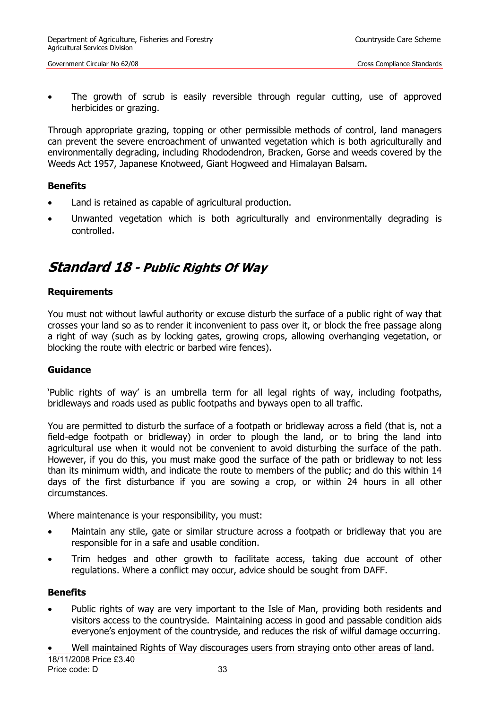The growth of scrub is easily reversible through regular cutting, use of approved herbicides or grazing.

Through appropriate grazing, topping or other permissible methods of control, land managers can prevent the severe encroachment of unwanted vegetation which is both agriculturally and environmentally degrading, including Rhododendron, Bracken, Gorse and weeds covered by the Weeds Act 1957, Japanese Knotweed, Giant Hogweed and Himalayan Balsam.

#### **Benefits**

- Land is retained as capable of agricultural production.
- Unwanted vegetation which is both agriculturally and environmentally degrading is controlled.

### <span id="page-32-0"></span>**Standard 18 - Public Rights Of Way**

#### **Requirements**

You must not without lawful authority or excuse disturb the surface of a public right of way that crosses your land so as to render it inconvenient to pass over it, or block the free passage along a right of way (such as by locking gates, growing crops, allowing overhanging vegetation, or blocking the route with electric or barbed wire fences).

#### **Guidance**

'Public rights of way' is an umbrella term for all legal rights of way, including footpaths, bridleways and roads used as public footpaths and byways open to all traffic.

You are permitted to disturb the surface of a footpath or bridleway across a field (that is, not a field-edge footpath or bridleway) in order to plough the land, or to bring the land into agricultural use when it would not be convenient to avoid disturbing the surface of the path. However, if you do this, you must make good the surface of the path or bridleway to not less than its minimum width, and indicate the route to members of the public; and do this within 14 days of the first disturbance if you are sowing a crop, or within 24 hours in all other circumstances.

Where maintenance is your responsibility, you must:

- Maintain any stile, gate or similar structure across a footpath or bridleway that you are responsible for in a safe and usable condition.
- Trim hedges and other growth to facilitate access, taking due account of other regulations. Where a conflict may occur, advice should be sought from DAFF.

#### **Benefits**

- Public rights of way are very important to the Isle of Man, providing both residents and visitors access to the countryside. Maintaining access in good and passable condition aids everyone's enjoyment of the countryside, and reduces the risk of wilful damage occurring.
- Well maintained Rights of Way discourages users from straying onto other areas of land.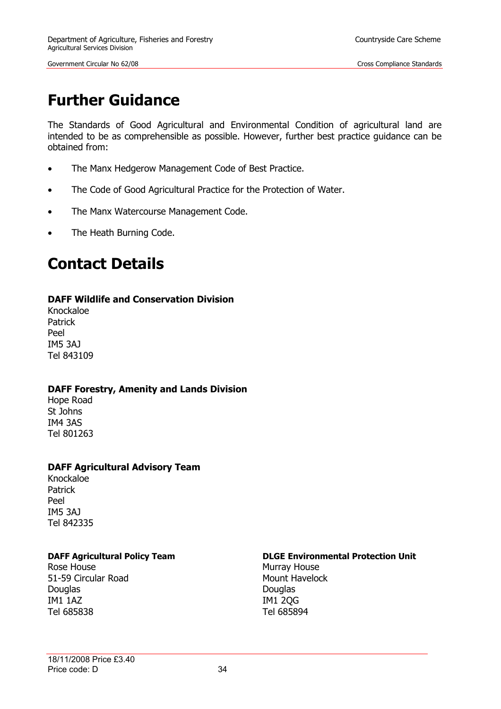# <span id="page-33-0"></span>**Further Guidance**

The Standards of Good Agricultural and Environmental Condition of agricultural land are intended to be as comprehensible as possible. However, further best practice guidance can be obtained from:

- The Manx Hedgerow Management Code of Best Practice.
- The Code of Good Agricultural Practice for the Protection of Water.
- The Manx Watercourse Management Code.
- The Heath Burning Code.

# <span id="page-33-1"></span>**Contact Details**

#### **DAFF Wildlife and Conservation Division**

Knockaloe Patrick Peel IM5 3AJ Tel 843109

#### **DAFF Forestry, Amenity and Lands Division**

Hope Road St Johns IM4 3AS Tel 801263

#### **DAFF Agricultural Advisory Team**

Knockaloe Patrick Peel IM5 3AJ Tel 842335

Rose House **Murray House** Murray House 51-59 Circular Road Mount Havelock Douglas Douglas Douglas Douglas IM1 1AZ IM1 2QG Tel 685838 Tel 685894

#### **DAFF Agricultural Policy Team DLGE Environmental Protection Unit**